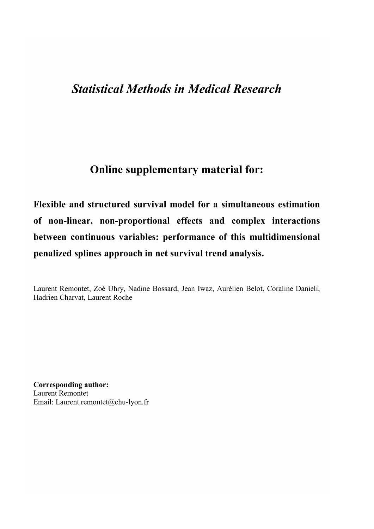# **Statistical Methods in Medical Research**

## **Online supplementary material for:**

Flexible and structured survival model for a simultaneous estimation of non-linear, non-proportional effects and complex interactions between continuous variables: performance of this multidimensional penalized splines approach in net survival trend analysis.

Laurent Remontet, Zoé Uhry, Nadine Bossard, Jean Iwaz, Aurélien Belot, Coraline Danieli, Hadrien Charvat, Laurent Roche

**Corresponding author: Laurent Remontet** Email: Laurent.remontet@chu-lyon.fr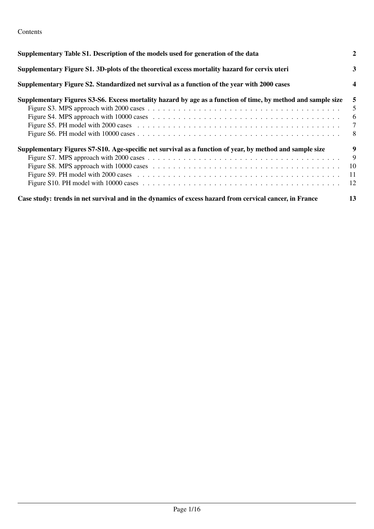### Contents

| Supplementary Table S1. Description of the models used for generation of the data                            | 2      |
|--------------------------------------------------------------------------------------------------------------|--------|
| Supplementary Figure S1. 3D-plots of the theoretical excess mortality hazard for cervix uteri                | 3      |
| Supplementary Figure S2. Standardized net survival as a function of the year with 2000 cases                 | 4      |
| Supplementary Figures S3-S6. Excess mortality hazard by age as a function of time, by method and sample size | 5      |
|                                                                                                              | 5      |
|                                                                                                              | 6      |
|                                                                                                              | $\tau$ |
|                                                                                                              | -8     |
| Supplementary Figures S7-S10. Age-specific net survival as a function of year, by method and sample size     | 9      |
|                                                                                                              | 9      |
|                                                                                                              | 10     |
|                                                                                                              | 11     |
|                                                                                                              | 12     |
| Case study: trends in net survival and in the dynamics of excess hazard from cervical cancer, in France      | 13     |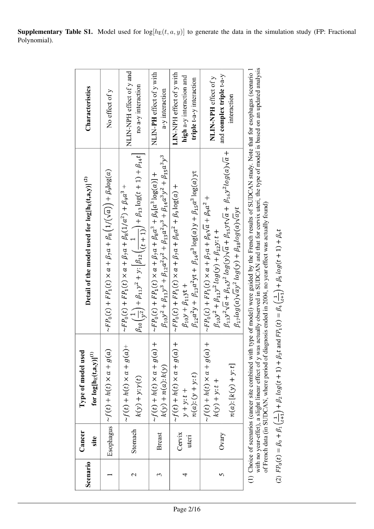| Scenario | Cancer<br>site  | Type of model used<br>for $log[{\rm h}_E(t,a,y)]^{(1)}$                         | Detail of the model used for $log[hE(t,a,y)](2)$                                                                                                                                                                                                                                                                                         | Characteristics                                                                  |
|----------|-----------------|---------------------------------------------------------------------------------|------------------------------------------------------------------------------------------------------------------------------------------------------------------------------------------------------------------------------------------------------------------------------------------------------------------------------------------|----------------------------------------------------------------------------------|
|          |                 | Esophagus $ \sim f(t) + h(t) \times a + g(a)$                                   | $\sim F P_0(t) + F P_1(t) \times a + \beta_7 a + \beta_8 (1/(\sqrt{a})) + \beta_9 \log(a)$                                                                                                                                                                                                                                               | No effect of y                                                                   |
| 2        | Stomach         | $-(a)\theta + a \times a + b(a) + c$<br>$k(y) + y: \gamma(t)$                   | $\beta_{10}\left(\frac{1}{y^2}\right) + \beta_{11}y^2 + y: \left[\beta_{12}\left(\frac{1}{(t+1)}\right) + \beta_{13}\log(t+1) + \beta_{14}t\right]$<br>$\sim F P_0(t) + F P_1(t) \times a + \beta_7 a + \beta_8 (1/a^2) + \beta_9 a^3$ +                                                                                                 | NLIN-NPH effect of y and<br>no a-y interaction                                   |
|          | <b>Breast</b>   | $-f(t) + h(t) \times a + g(a)$<br>$k(y) + n(a): k(y)$                           | $\beta_{10}y^2+\beta_{11}y^3+\beta_{12}a^2y^2+\beta_{13}a^2y^3+\beta_{14}a^3y^2+\beta_{15}a^3y^3$<br>$\sim F P_0(t) + F P_1(t) \times a + \beta_7 a + \beta_8 a^3 + \beta_9 [a^3 \log(a)] +$                                                                                                                                             | NLIN-PH effect of y with<br>a-y interaction                                      |
|          | Cervix<br>uteri | $-f(t) + h(t) \times a + g(a)$<br>$n(a):(y+y:t)$<br>$y + y$ : $t +$             | $\beta_{12}a^2y + \beta_{13}a^2yt + \beta_{14}a^3\log(a)y + \beta_{15}a^3\log(a)yt$<br>$\sim F P_0(t) + F P_1(t) \times a + \beta_7 a + \beta_8 a^2 + \beta_9 \log(a) +$<br>$\beta_{10}y + \beta_{11}yt +$                                                                                                                               | LIN-NPH effect of y with<br>high a-y interaction and<br>triple t-a-y interaction |
|          | Ovary           | $-f(t) + h(t) \times a + g(a)$<br>$n(a)$ : [ $k(y) + y$ : t]<br>$k(y) + y: t +$ | $\beta_{13}y^2\sqrt{a} + \beta_{14}y^2\log(y)\sqrt{a} + \beta_{15}yt\sqrt{a} + \beta_{16}y^2\log(a)\sqrt{a} +$<br>$\sim F P_0(t) + F P_1(t) \times a + \beta_7 a + \beta_8 \sqrt{a} + \beta_9 a^2 +$<br>$\beta_{17}log(a)\sqrt{ay^2\log(y)} + \beta_{18}log(a)\sqrt{ayt}$<br>$\beta_{10}y^2 + \beta_{11}y^2 \log(y) + \beta_{12}y$ : t + | and complex triple t-a-y<br>NLIN-NPH effect of y<br>interaction                  |
|          |                 |                                                                                 | (1) Choice of scenarios (cancer site combined with type of model) were guided by the French results of SUDCAN study. Note that for esophagus (scenario 1 with no year-effet), a slight linear effect of y was actually observe                                                                                                           |                                                                                  |

with no year-effet), a slight linear effect of y was actually observed in SUDCAN and that for cervix uteri, the type of model<br>of French data (in SUDCAN, where period of diagnosis ended in 2004, no year effect was actually

(2) 
$$
FP_0(t) = \beta_0 + \beta_1 \left(\frac{1}{t+1}\right) + \beta_2 \log(t+1) + \beta_3 t
$$
 and  $FP_1(t) = \beta_4 \left(\frac{1}{t+1}\right) + \beta_5 \log(t+1) + \beta_6 t$ 

**Supplementary Table S1.** Model used for  $log[h_E(t, a, y)]$  to generate the data in the simulation study (FP: Fractional Polynomial).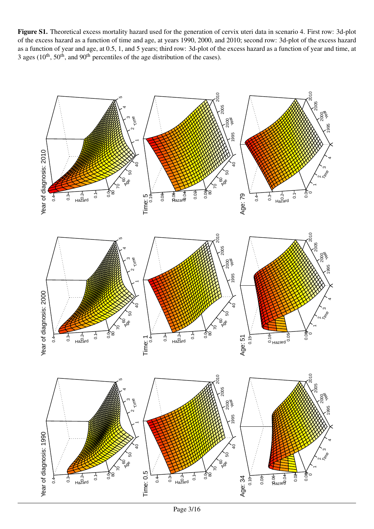Figure S1. Theoretical excess mortality hazard used for the generation of cervix uteri data in scenario 4. First row: 3d-plot of the excess hazard as a function of time and age, at years 1990, 2000, and 2010; second row: 3d-plot of the excess hazard as a function of year and age, at 0.5, 1, and 5 years; third row: 3d-plot of the excess hazard as a function of year and time, at 3 ages ( $10^{th}$ ,  $50^{th}$ , and  $90^{th}$  percentiles of the age distribution of the cases).

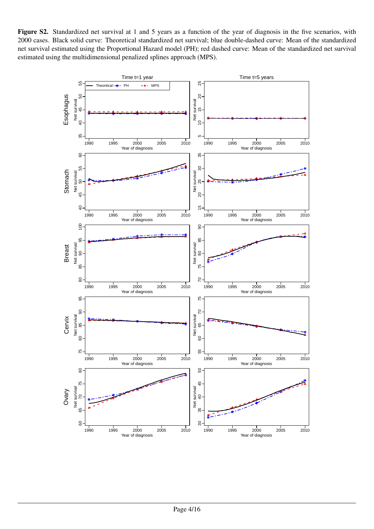Figure S2. Standardized net survival at 1 and 5 years as a function of the year of diagnosis in the five scenarios, with 2000 cases. Black solid curve: Theoretical standardized net survival; blue double-dashed curve: Mean of the standardized net survival estimated using the Proportional Hazard model (PH); red dashed curve: Mean of the standardized net survival estimated using the multidimensional penalized splines approach (MPS).

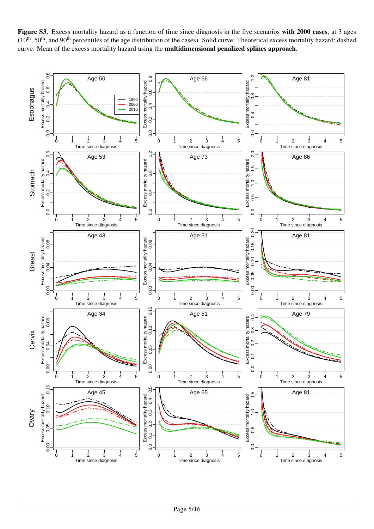Figure S3. Excess mortality hazard as a function of time since diagnosis in the five scenarios with 2000 cases, at 3 ages (10<sup>th</sup>, 50<sup>th</sup>, and 90<sup>th</sup> percentiles of the age distribution of the cases). Solid curve: Theoretical excess mortality hazard; dashed curve: Mean of the excess mortality hazard using the multidimensional penalized splines approach.

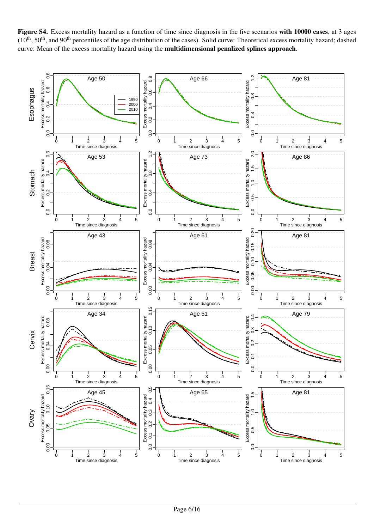Figure S4. Excess mortality hazard as a function of time since diagnosis in the five scenarios with 10000 cases, at 3 ages  $(10<sup>th</sup>, 50<sup>th</sup>,$  and  $90<sup>th</sup>$  percentiles of the age distribution of the cases). Solid curve: Theoretical excess mortality hazard; dashed curve: Mean of the excess mortality hazard using the multidimensional penalized splines approach.

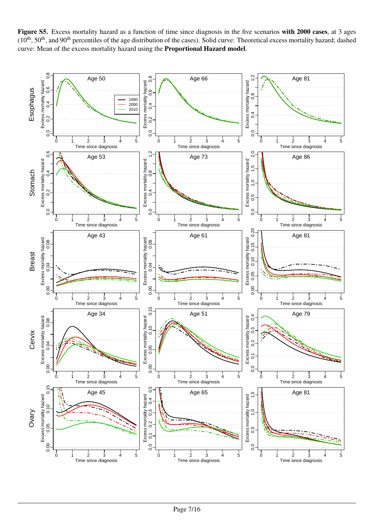Figure S5. Excess mortality hazard as a function of time since diagnosis in the five scenarios with 2000 cases, at 3 ages (10<sup>th</sup>, 50<sup>th</sup>, and 90<sup>th</sup> percentiles of the age distribution of the cases). Solid curve: Theoretical excess mortality hazard; dashed curve: Mean of the excess mortality hazard using the Proportional Hazard model.

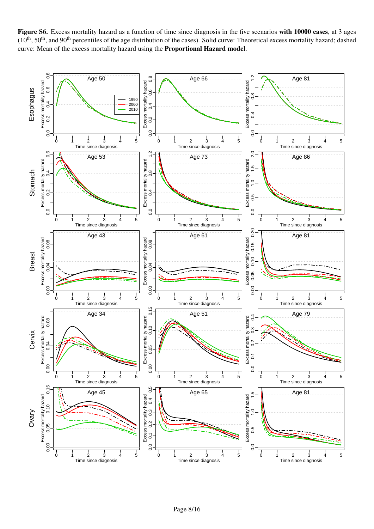Figure S6. Excess mortality hazard as a function of time since diagnosis in the five scenarios with 10000 cases, at 3 ages  $(10<sup>th</sup>, 50<sup>th</sup>,$  and 90<sup>th</sup> percentiles of the age distribution of the cases). Solid curve: Theoretical excess mortality hazard; dashed curve: Mean of the excess mortality hazard using the Proportional Hazard model.

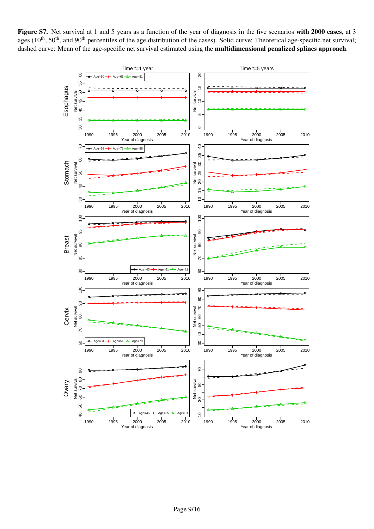Figure S7. Net survival at 1 and 5 years as a function of the year of diagnosis in the five scenarios with 2000 cases, at 3 ages  $(10<sup>th</sup>, 50<sup>th</sup>)$ , and  $90<sup>th</sup>$  percentiles of the age distribution of the cases). Solid curve: Theoretical age-specific net survival; dashed curve: Mean of the age-specific net survival estimated using the multidimensional penalized splines approach.

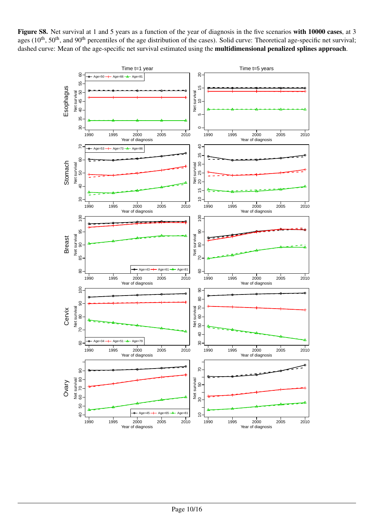Figure S8. Net survival at 1 and 5 years as a function of the year of diagnosis in the five scenarios with 10000 cases, at 3 ages  $(10<sup>th</sup>, 50<sup>th</sup>)$ , and  $90<sup>th</sup>$  percentiles of the age distribution of the cases). Solid curve: Theoretical age-specific net survival; dashed curve: Mean of the age-specific net survival estimated using the **multidimensional penalized splines approach**.

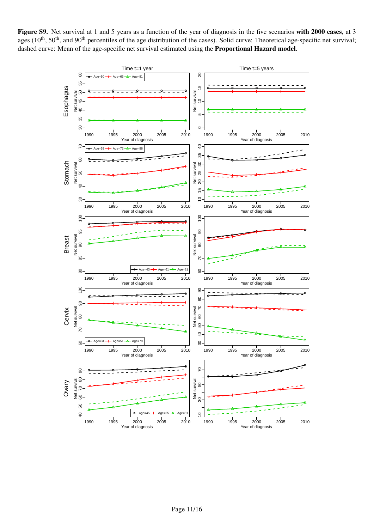Figure S9. Net survival at 1 and 5 years as a function of the year of diagnosis in the five scenarios with 2000 cases, at 3 ages  $(10<sup>th</sup>, 50<sup>th</sup>)$ , and  $90<sup>th</sup>$  percentiles of the age distribution of the cases). Solid curve: Theoretical age-specific net survival; dashed curve: Mean of the age-specific net survival estimated using the Proportional Hazard model.

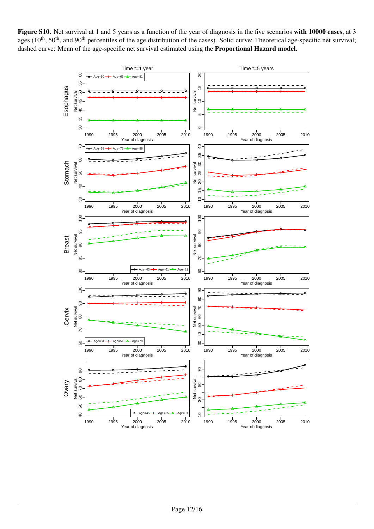Figure S10. Net survival at 1 and 5 years as a function of the year of diagnosis in the five scenarios with 10000 cases, at 3 ages  $(10<sup>th</sup>, 50<sup>th</sup>)$ , and  $90<sup>th</sup>$  percentiles of the age distribution of the cases). Solid curve: Theoretical age-specific net survival; dashed curve: Mean of the age-specific net survival estimated using the Proportional Hazard model.

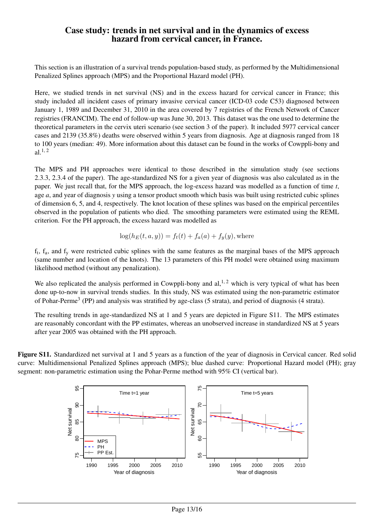### Case study: trends in net survival and in the dynamics of excess hazard from cervical cancer, in France.

This section is an illustration of a survival trends population-based study, as performed by the Multidimensional Penalized Splines approach (MPS) and the Proportional Hazard model (PH).

Here, we studied trends in net survival (NS) and in the excess hazard for cervical cancer in France; this study included all incident cases of primary invasive cervical cancer (ICD-03 code C53) diagnosed between January 1, 1989 and December 31, 2010 in the area covered by 7 registries of the French Network of Cancer registries (FRANCIM). The end of follow-up was June 30, 2013. This dataset was the one used to determine the theoretical parameters in the cervix uteri scenario (see section 3 of the paper). It included 5977 cervical cancer cases and 2139 (35.8%) deaths were observed within 5 years from diagnosis. Age at diagnosis ranged from 18 to 100 years (median: 49). More information about this dataset can be found in the works of Cowppli-bony and  $al.$ <sup>1, 2</sup>

The MPS and PH approaches were identical to those described in the simulation study (see sections 2.3.3, 2.3.4 of the paper). The age-standardized NS for a given year of diagnosis was also calculated as in the paper. We just recall that, for the MPS approach, the log-excess hazard was modelled as a function of time *t*, age *a*, and year of diagnosis *y* using a tensor product smooth which basis was built using restricted cubic splines of dimension 6, 5, and 4, respectively. The knot location of these splines was based on the empirical percentiles observed in the population of patients who died. The smoothing parameters were estimated using the REML criterion. For the PH approach, the excess hazard was modelled as

$$
log(h_E(t, a, y)) = f_t(t) + f_a(a) + f_y(y)
$$
, where

 $f_t$ ,  $f_a$ , and  $f_y$  were restricted cubic splines with the same features as the marginal bases of the MPS approach (same number and location of the knots). The 13 parameters of this PH model were obtained using maximum likelihood method (without any penalization).

We also replicated the analysis performed in Cowppli-bony and  $al$ ,<sup>1,2</sup> which is very typical of what has been done up-to-now in survival trends studies. In this study, NS was estimated using the non-parametric estimator of Pohar-Perme<sup>3</sup> (PP) and analysis was stratified by age-class (5 strata), and period of diagnosis (4 strata).

The resulting trends in age-standardized NS at 1 and 5 years are depicted in Figure S11. The MPS estimates are reasonably concordant with the PP estimates, whereas an unobserved increase in standardized NS at 5 years after year 2005 was obtained with the PH approach.

Figure S11. Standardized net survival at 1 and 5 years as a function of the year of diagnosis in Cervical cancer. Red solid curve: Multidimensional Penalized Splines approach (MPS); blue dashed curve: Proportional Hazard model (PH); gray segment: non-parametric estimation using the Pohar-Perme method with 95% CI (vertical bar).

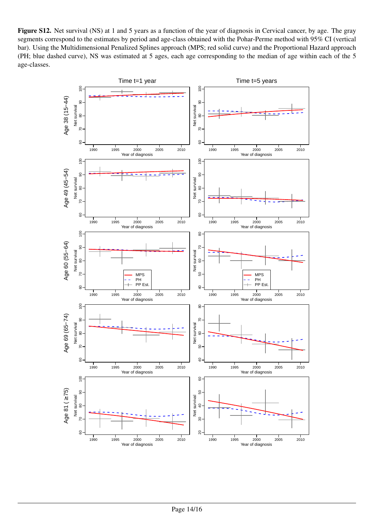Figure S12. Net survival (NS) at 1 and 5 years as a function of the year of diagnosis in Cervical cancer, by age. The gray segments correspond to the estimates by period and age-class obtained with the Pohar-Perme method with 95% CI (vertical bar). Using the Multidimensional Penalized Splines approach (MPS; red solid curve) and the Proportional Hazard approach (PH; blue dashed curve), NS was estimated at 5 ages, each age corresponding to the median of age within each of the 5 age-classes.

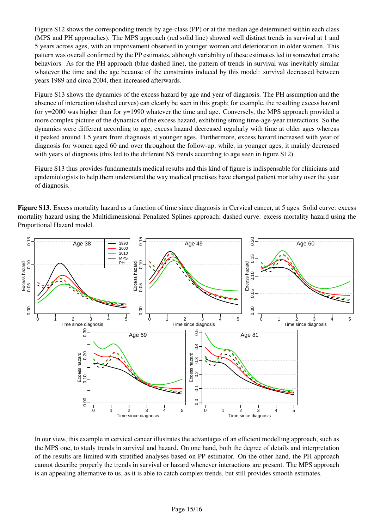Figure S12 shows the corresponding trends by age-class (PP) or at the median age determined within each class (MPS and PH approaches). The MPS approach (red solid line) showed well distinct trends in survival at 1 and 5 years across ages, with an improvement observed in younger women and deterioration in older women. This pattern was overall confirmed by the PP estimates, although variability of these estimates led to somewhat erratic behaviors. As for the PH approach (blue dashed line), the pattern of trends in survival was inevitably similar whatever the time and the age because of the constraints induced by this model: survival decreased between years 1989 and circa 2004, then increased afterwards.

Figure S13 shows the dynamics of the excess hazard by age and year of diagnosis. The PH assumption and the absence of interaction (dashed curves) can clearly be seen in this graph; for example, the resulting excess hazard for y=2000 was higher than for y=1990 whatever the time and age. Conversely, the MPS approach provided a more complex picture of the dynamics of the excess hazard, exhibiting strong time-age-year interactions. So the dynamics were different according to age; excess hazard decreased regularly with time at older ages whereas it peaked around 1.5 years from diagnosis at younger ages. Furthermore, excess hazard increased with year of diagnosis for women aged 60 and over throughout the follow-up, while, in younger ages, it mainly decreased with years of diagnosis (this led to the different NS trends according to age seen in figure S12).

Figure S13 thus provides fundamentals medical results and this kind of figure is indispensable for clinicians and epidemiologists to help them understand the way medical practises have changed patient mortality over the year of diagnosis.

Figure S13. Excess mortality hazard as a function of time since diagnosis in Cervical cancer, at 5 ages. Solid curve: excess mortality hazard using the Multidimensional Penalized Splines approach; dashed curve: excess mortality hazard using the Proportional Hazard model.



In our view, this example in cervical cancer illustrates the advantages of an efficient modelling approach, such as the MPS one, to study trends in survival and hazard. On one hand, both the degree of details and interpretation of the results are limited with stratified analyses based on PP estimator. On the other hand, the PH approach cannot describe properly the trends in survival or hazard whenever interactions are present. The MPS approach is an appealing alternative to us, as it is able to catch complex trends, but still provides smooth estimates.